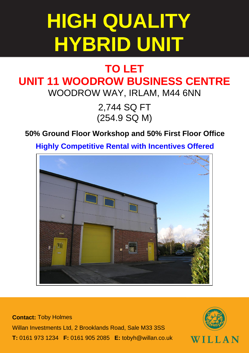## **HIGH QUALITY HYBRID UNIT**

## **TO LET UNIT 11 WOODROW BUSINESS CENTRE** WOODROW WAY, IRLAM, M44 6NN

2,744 SQ FT (254.9 SQ M)

## **50% Ground Floor Workshop and 50% First Floor Office**

**Highly Competitive Rental with Incentives Offered**



**Contact:** Toby Holmes Willan Investments Ltd, 2 Brooklands Road, Sale M33 3SS **T:** 0161 973 1234 **F:** 0161 905 2085 **E:** tobyh@willan.co.uk